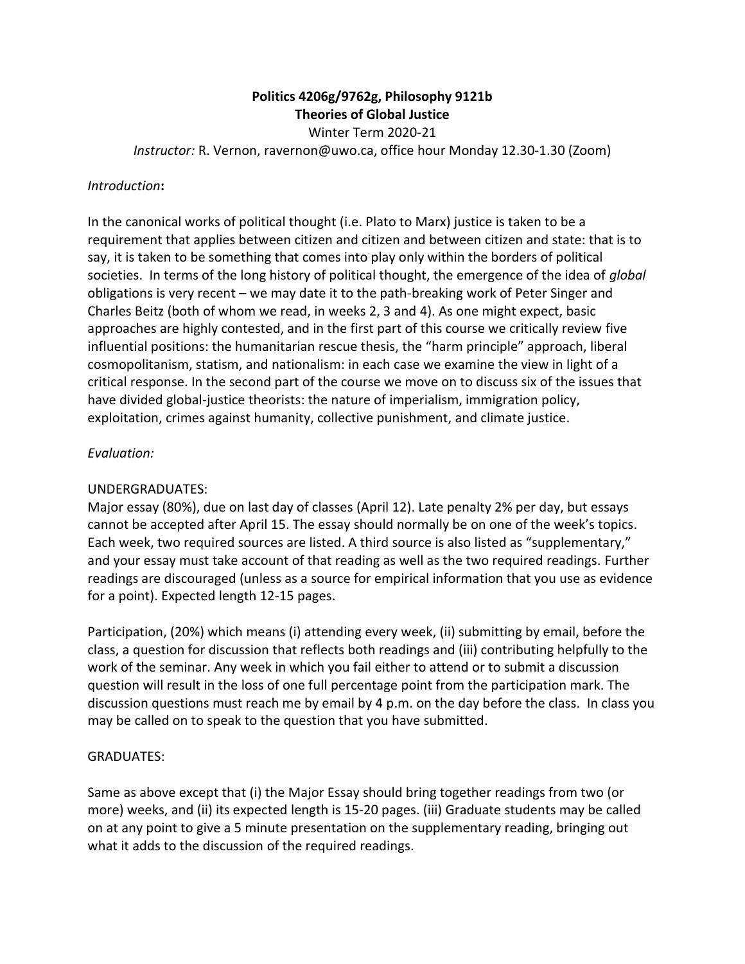# **Politics 4206g/9762g, Philosophy 9121b Theories of Global Justice**

Winter Term 2020-21

*Instructor:* R. Vernon, ravernon@uwo.ca, office hour Monday 12.30-1.30 (Zoom)

#### *Introduction***:**

In the canonical works of political thought (i.e. Plato to Marx) justice is taken to be a requirement that applies between citizen and citizen and between citizen and state: that is to say, it is taken to be something that comes into play only within the borders of political societies. In terms of the long history of political thought, the emergence of the idea of *global* obligations is very recent – we may date it to the path-breaking work of Peter Singer and Charles Beitz (both of whom we read, in weeks 2, 3 and 4). As one might expect, basic approaches are highly contested, and in the first part of this course we critically review five influential positions: the humanitarian rescue thesis, the "harm principle" approach, liberal cosmopolitanism, statism, and nationalism: in each case we examine the view in light of a critical response. In the second part of the course we move on to discuss six of the issues that have divided global-justice theorists: the nature of imperialism, immigration policy, exploitation, crimes against humanity, collective punishment, and climate justice.

#### *Evaluation:*

### UNDERGRADUATES:

Major essay (80%), due on last day of classes (April 12). Late penalty 2% per day, but essays cannot be accepted after April 15. The essay should normally be on one of the week's topics. Each week, two required sources are listed. A third source is also listed as "supplementary," and your essay must take account of that reading as well as the two required readings. Further readings are discouraged (unless as a source for empirical information that you use as evidence for a point). Expected length 12-15 pages.

Participation, (20%) which means (i) attending every week, (ii) submitting by email, before the class, a question for discussion that reflects both readings and (iii) contributing helpfully to the work of the seminar. Any week in which you fail either to attend or to submit a discussion question will result in the loss of one full percentage point from the participation mark. The discussion questions must reach me by email by 4 p.m. on the day before the class. In class you may be called on to speak to the question that you have submitted.

#### GRADUATES:

Same as above except that (i) the Major Essay should bring together readings from two (or more) weeks, and (ii) its expected length is 15-20 pages. (iii) Graduate students may be called on at any point to give a 5 minute presentation on the supplementary reading, bringing out what it adds to the discussion of the required readings.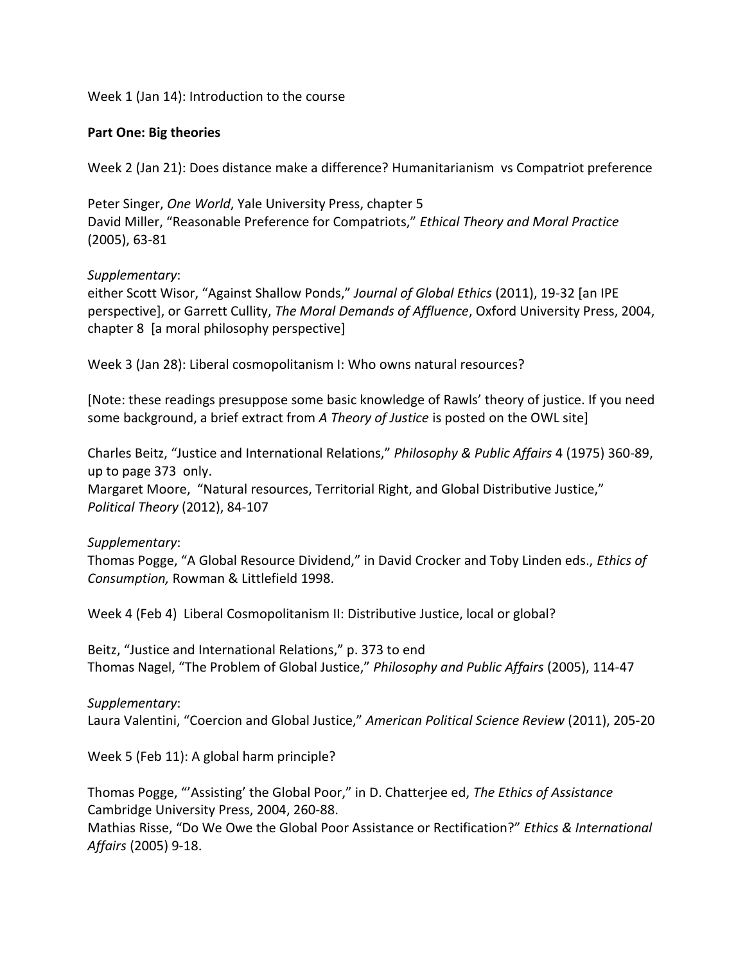Week 1 (Jan 14): Introduction to the course

#### **Part One: Big theories**

Week 2 (Jan 21): Does distance make a difference? Humanitarianism vs Compatriot preference

Peter Singer, *One World*, Yale University Press, chapter 5 David Miller, "Reasonable Preference for Compatriots," *Ethical Theory and Moral Practice* (2005), 63-81

#### *Supplementary*:

either Scott Wisor, "Against Shallow Ponds," *Journal of Global Ethics* (2011), 19-32 [an IPE perspective], or Garrett Cullity, *The Moral Demands of Affluence*, Oxford University Press, 2004, chapter 8 [a moral philosophy perspective]

Week 3 (Jan 28): Liberal cosmopolitanism I: Who owns natural resources?

[Note: these readings presuppose some basic knowledge of Rawls' theory of justice. If you need some background, a brief extract from *A Theory of Justice* is posted on the OWL site]

Charles Beitz, "Justice and International Relations," *Philosophy & Public Affairs* 4 (1975) 360-89, up to page 373 only.

Margaret Moore, "Natural resources, Territorial Right, and Global Distributive Justice," *Political Theory* (2012), 84-107

### *Supplementary*:

Thomas Pogge, "A Global Resource Dividend," in David Crocker and Toby Linden eds., *Ethics of Consumption,* Rowman & Littlefield 1998.

Week 4 (Feb 4) Liberal Cosmopolitanism II: Distributive Justice, local or global?

Beitz, "Justice and International Relations," p. 373 to end Thomas Nagel, "The Problem of Global Justice," *Philosophy and Public Affairs* (2005), 114-47

*Supplementary*: Laura Valentini, "Coercion and Global Justice," *American Political Science Review* (2011), 205-20

Week 5 (Feb 11): A global harm principle?

Thomas Pogge, "'Assisting' the Global Poor," in D. Chatterjee ed, *The Ethics of Assistance* Cambridge University Press, 2004, 260-88.

Mathias Risse, "Do We Owe the Global Poor Assistance or Rectification?" *Ethics & International Affairs* (2005) 9-18.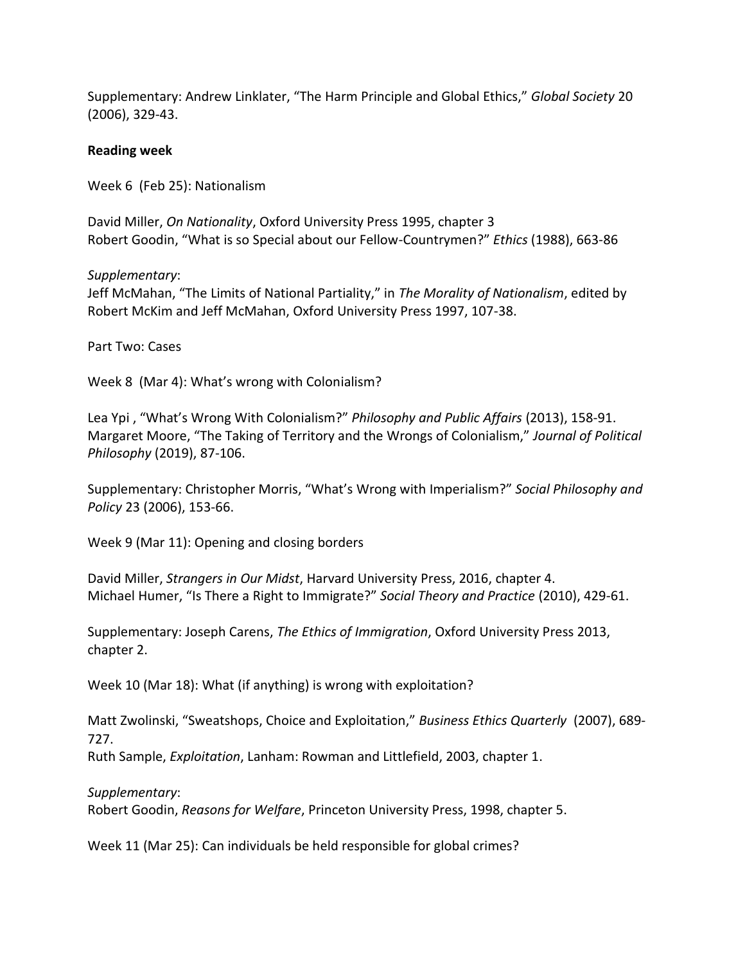Supplementary: Andrew Linklater, "The Harm Principle and Global Ethics," *Global Society* 20 (2006), 329-43.

#### **Reading week**

Week 6 (Feb 25): Nationalism

David Miller, *On Nationality*, Oxford University Press 1995, chapter 3 Robert Goodin, "What is so Special about our Fellow-Countrymen?" *Ethics* (1988), 663-86

*Supplementary*:

Jeff McMahan, "The Limits of National Partiality," in *The Morality of Nationalism*, edited by Robert McKim and Jeff McMahan, Oxford University Press 1997, 107-38.

Part Two: Cases

Week 8 (Mar 4): What's wrong with Colonialism?

Lea Ypi , "What's Wrong With Colonialism?" *Philosophy and Public Affairs* (2013), 158-91. Margaret Moore, "The Taking of Territory and the Wrongs of Colonialism," *Journal of Political Philosophy* (2019), 87-106.

Supplementary: Christopher Morris, "What's Wrong with Imperialism?" *Social Philosophy and Policy* 23 (2006), 153-66.

Week 9 (Mar 11): Opening and closing borders

David Miller, *Strangers in Our Midst*, Harvard University Press, 2016, chapter 4. Michael Humer, "Is There a Right to Immigrate?" *Social Theory and Practice* (2010), 429-61.

Supplementary: Joseph Carens, *The Ethics of Immigration*, Oxford University Press 2013, chapter 2.

Week 10 (Mar 18): What (if anything) is wrong with exploitation?

Matt Zwolinski, "Sweatshops, Choice and Exploitation," *Business Ethics Quarterly* (2007), 689- 727.

Ruth Sample, *Exploitation*, Lanham: Rowman and Littlefield, 2003, chapter 1.

*Supplementary*:

Robert Goodin, *Reasons for Welfare*, Princeton University Press, 1998, chapter 5.

Week 11 (Mar 25): Can individuals be held responsible for global crimes?